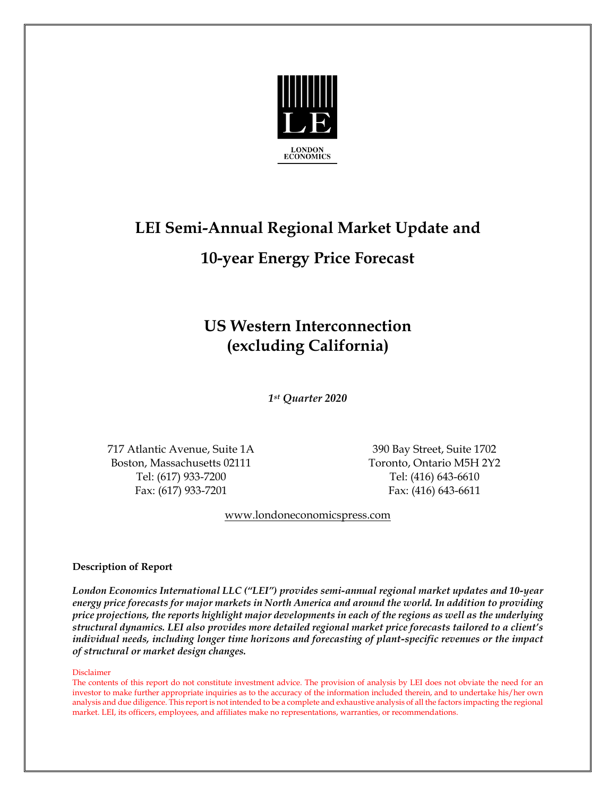

# **LEI Semi-Annual Regional Market Update and 10-year Energy Price Forecast**

## **US Western Interconnection (excluding California)**

*1 st Quarter 2020*

717 Atlantic Avenue, Suite 1A 390 Bay Street, Suite 1702 Boston, Massachusetts 02111 Toronto, Ontario M5H 2Y2 Tel: (617) 933-7200 Tel: (416) 643-6610 Fax: (617) 933-7201 Fax: (416) 643-6611

[www.londoneconomicspress.com](http://www.londoneconomicspress.com/)

#### **Description of Report**

*London Economics International LLC ("LEI") provides semi-annual regional market updates and 10-year energy price forecasts for major markets in North America and around the world. In addition to providing price projections, the reports highlight major developments in each of the regions as well as the underlying structural dynamics. LEI also provides more detailed regional market price forecasts tailored to a client's individual needs, including longer time horizons and forecasting of plant-specific revenues or the impact of structural or market design changes.*

#### Disclaimer

The contents of this report do not constitute investment advice. The provision of analysis by LEI does not obviate the need for an investor to make further appropriate inquiries as to the accuracy of the information included therein, and to undertake his/her own analysis and due diligence. This report is not intended to be a complete and exhaustive analysis of all the factors impacting the regional market. LEI, its officers, employees, and affiliates make no representations, warranties, or recommendations.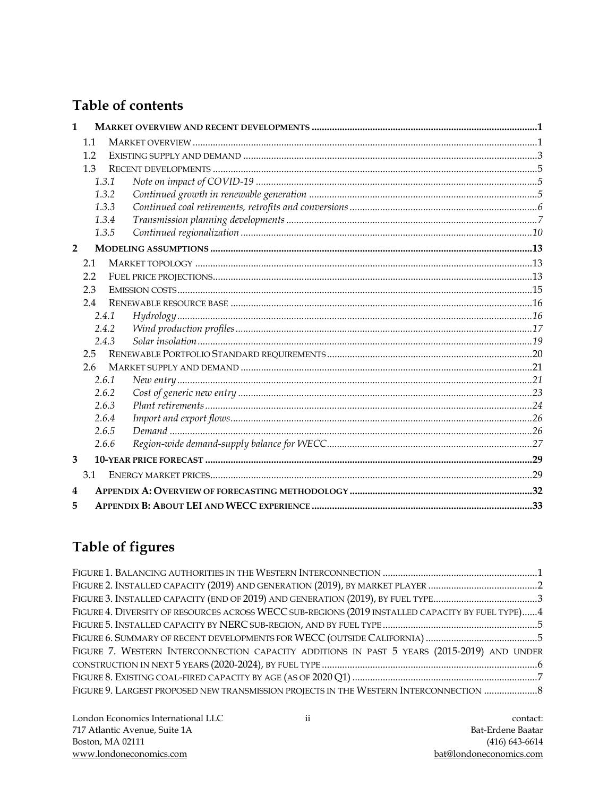### Table of contents

| $\mathbf{1}$            |               |       |  |
|-------------------------|---------------|-------|--|
|                         | 1.1           |       |  |
|                         | 1.2           |       |  |
|                         | 1.3           |       |  |
|                         |               | 1.3.1 |  |
|                         |               | 1.3.2 |  |
|                         |               | 1.3.3 |  |
|                         |               | 1.3.4 |  |
|                         |               | 1.3.5 |  |
| $\overline{2}$          |               |       |  |
|                         | 2.1           |       |  |
|                         | 2.2           |       |  |
|                         | 2.3           |       |  |
|                         | 2.4           |       |  |
|                         |               | 2.4.1 |  |
|                         |               | 2.4.2 |  |
|                         |               | 2.4.3 |  |
|                         | 2.5           |       |  |
|                         | $2.6^{\circ}$ |       |  |
|                         |               | 2.6.1 |  |
|                         |               | 2.6.2 |  |
|                         |               | 2.6.3 |  |
|                         |               | 2.6.4 |  |
|                         |               | 2.6.5 |  |
|                         |               | 2.6.6 |  |
| 3                       |               |       |  |
|                         | 3.1           |       |  |
| $\overline{\mathbf{4}}$ |               |       |  |
| 5                       |               |       |  |

### Table of figures

| FIGURE 3. INSTALLED CAPACITY (END OF 2019) AND GENERATION (2019), BY FUEL TYPE3                  |  |
|--------------------------------------------------------------------------------------------------|--|
| FIGURE 4. DIVERSITY OF RESOURCES ACROSS WECC SUB-REGIONS (2019 INSTALLED CAPACITY BY FUEL TYPE)4 |  |
|                                                                                                  |  |
|                                                                                                  |  |
| FIGURE 7. WESTERN INTERCONNECTION CAPACITY ADDITIONS IN PAST 5 YEARS (2015-2019) AND UNDER       |  |
|                                                                                                  |  |
|                                                                                                  |  |
| FIGURE 9. LARGEST PROPOSED NEW TRANSMISSION PROJECTS IN THE WESTERN INTERCONNECTION              |  |